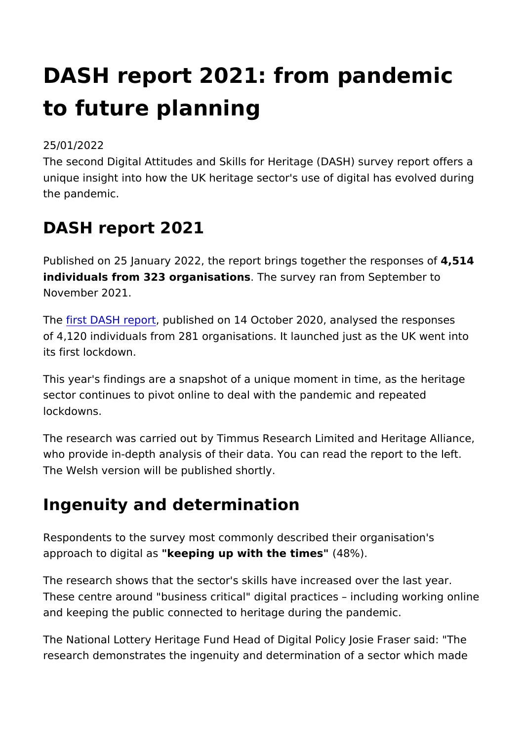# DASH report 2021: from pandem to future planning

#### 25/01/2022

The second Digital Attitudes and Skills for Heritage (DASH) sur unique insight into how the UK heritage sector's use of digital  $\vert$ the pandemic.

### DASH report 2021

Published on 25 January 2022, the report brings together the response of  $4,15$ individuals from 323 organisathensurvey ran from September to November 2021.

Th[e first DASH r](https://www.heritagefund.org.uk/about/insight/research/dash-report-learning-first-uk-wide-digital-heritage-survey)eport this hed on 14 October 2020, analysed the responses of 4,120 individuals from 281 organisations. It launched just as its first lockdown.

This year's findings are a snapshot of a unique moment in time, sector continues to pivot online to deal with the pandemic and lockdowns.

The research was carried out by Timmus Research Limited and who provide in-depth analysis of their data. You can read the re The Welsh version will be published shortly.

#### Ingenuity and determination

Respondents to the survey most commonly described their organ approach to digitled eapsing up with the timeless%").

The research shows that the sector's skills have increased over These centre around "business critical" digital practices inclu and keeping the public connected to heritage during the pandem

The National Lottery Heritage Fund Head of Digital Policy Josie research demonstrates the ingenuity and determination of a sec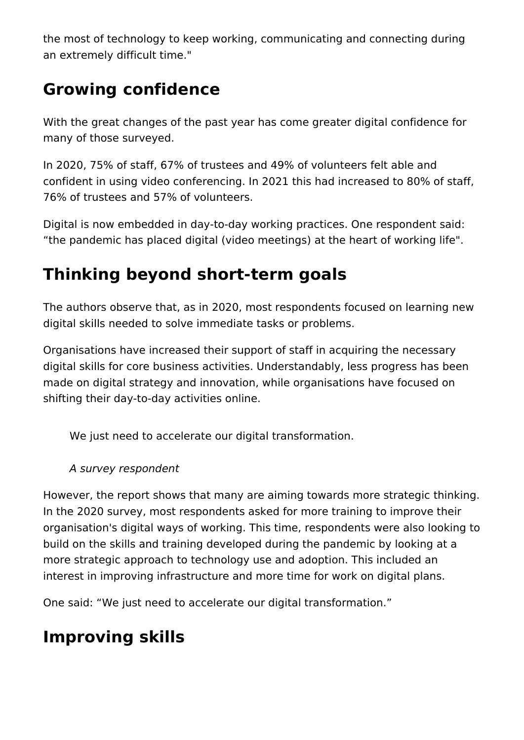the most of technology to keep working, communicating and connecting during an extremely difficult time."

## **Growing confidence**

With the great changes of the past year has come greater digital confidence for many of those surveyed.

In 2020, 75% of staff, 67% of trustees and 49% of volunteers felt able and confident in using video conferencing. In 2021 this had increased to 80% of staff, 76% of trustees and 57% of volunteers.

Digital is now embedded in day-to-day working practices. One respondent said: "the pandemic has placed digital (video meetings) at the heart of working life".

## **Thinking beyond short-term goals**

The authors observe that, as in 2020, most respondents focused on learning new digital skills needed to solve immediate tasks or problems.

Organisations have increased their support of staff in acquiring the necessary digital skills for core business activities. Understandably, less progress has been made on digital strategy and innovation, while organisations have focused on shifting their day-to-day activities online.

We just need to accelerate our digital transformation.

*A survey respondent*

However, the report shows that many are aiming towards more strategic thinking. In the 2020 survey, most respondents asked for more training to improve their organisation's digital ways of working. This time, respondents were also looking to build on the skills and training developed during the pandemic by looking at a more strategic approach to technology use and adoption. This included an interest in improving infrastructure and more time for work on digital plans.

One said: "We just need to accelerate our digital transformation."

### **Improving skills**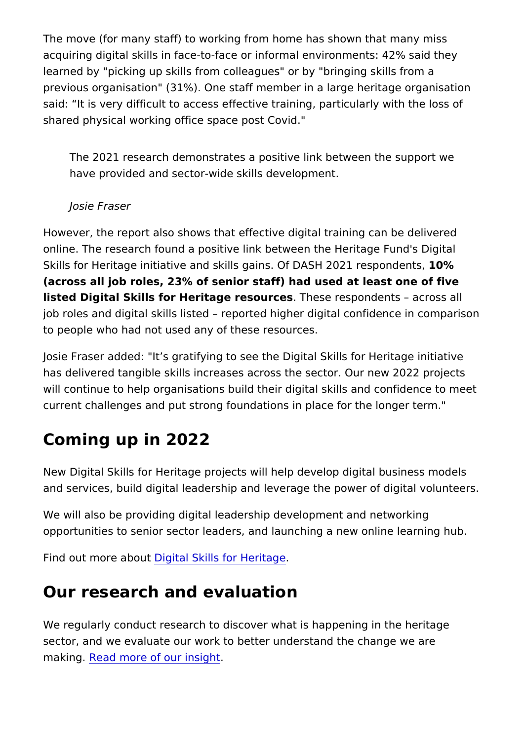The move (for many staff) to working from home has shown that acquiring digital skills in face-to-face or informal environments learned by "picking up skills from colleagues" or by "bringing s previous organisation" (31%). One staff member in a large herit said: It is very difficult to access effective training, particular shared physical working office space post Covid."

The 2021 research demonstrates a positive link between the have provided and sector-wide skills development.

Josie Fraser

However, the report also shows that effective digital training ca online. The research found a positive link between the Heritage Skills for Heritage initiative and skills gains. Of DASH 2021 res (across all job roles,  $23\%$  of senior staff) had used at least one listed Digital Skills for Heritage resbeseese spondents across a job roles and digital skills listed reported higher digital confi to people who had not used any of these resources.

Josie Fraser added: "It s gratifying to see the Digital Skills for has delivered tangible skills increases across the sector. Our n will continue to help organisations build their digital skills and current challenges and put strong foundations in place for the I

### Coming up in 2022

New Digital Skills for Heritage projects will help develop digital and services, build digital leadership and leverage the power of

We will also be providing digital leadership development and ne opportunities to senior sector leaders, and launching a new onl

Find out more aDtiguttal Skills for Heritage

#### Our research and evaluation

We regularly conduct research to discover what is happening in sector, and we evaluate our work to better understand the chan making Read more of our insight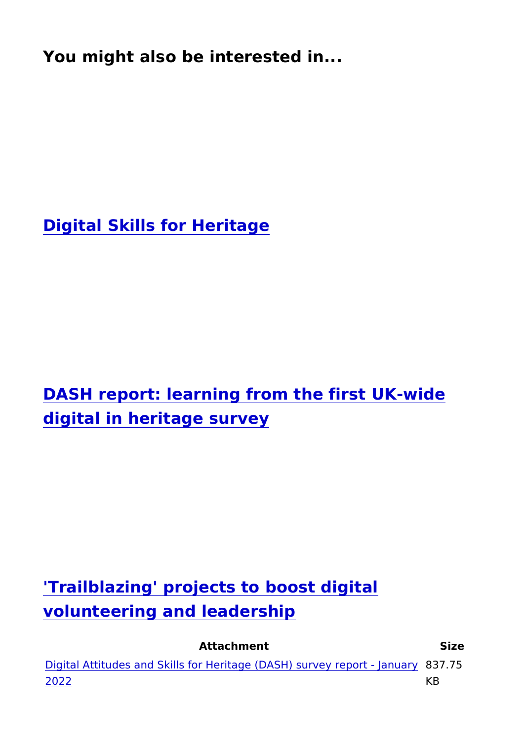Digital Skills for Heritage

DASH report: learning from the first UK-wi digital in heritage survey

'Trailblazing' projects to boost digital volunteering and leadership

Attachment Size

Digital Attitudes and Skills for Heritage ( $DASH$ ) su $83775$ eport -[202](https://www.heritagefund.org.uk/sites/default/files/media/attachments/DASH 2021 REPORT-v2-accessible.pdf)2 KB